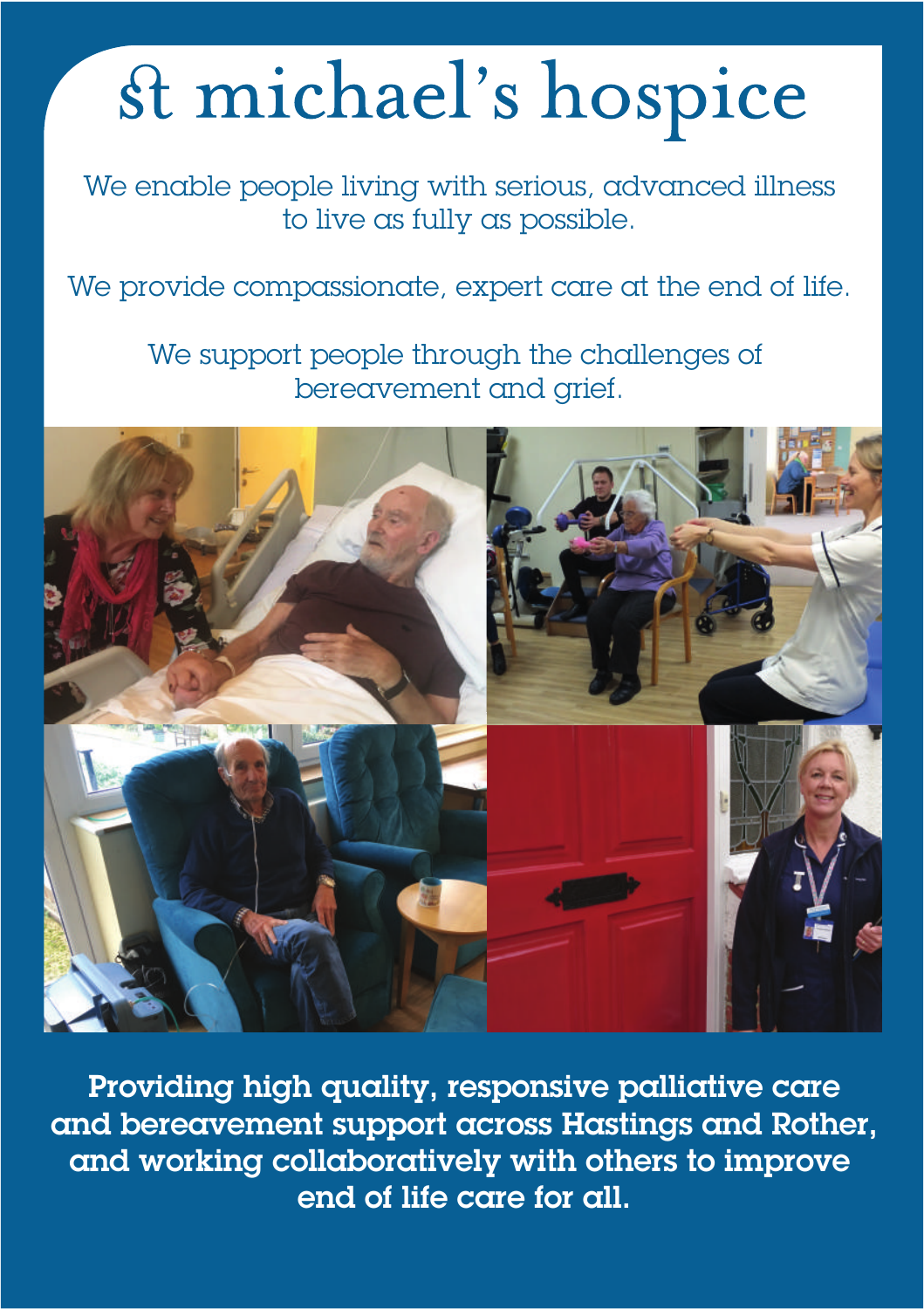# st michael's hospice

We enable people living with serious, advanced illness to live as fully as possible.

We provide compassionate, expert care at the end of life.

We support people through the challenges of bereavement and grief.



Providing high quality, responsive palliative care and bereavement support across Hastings and Rother, and working collaboratively with others to improve end of life care for all.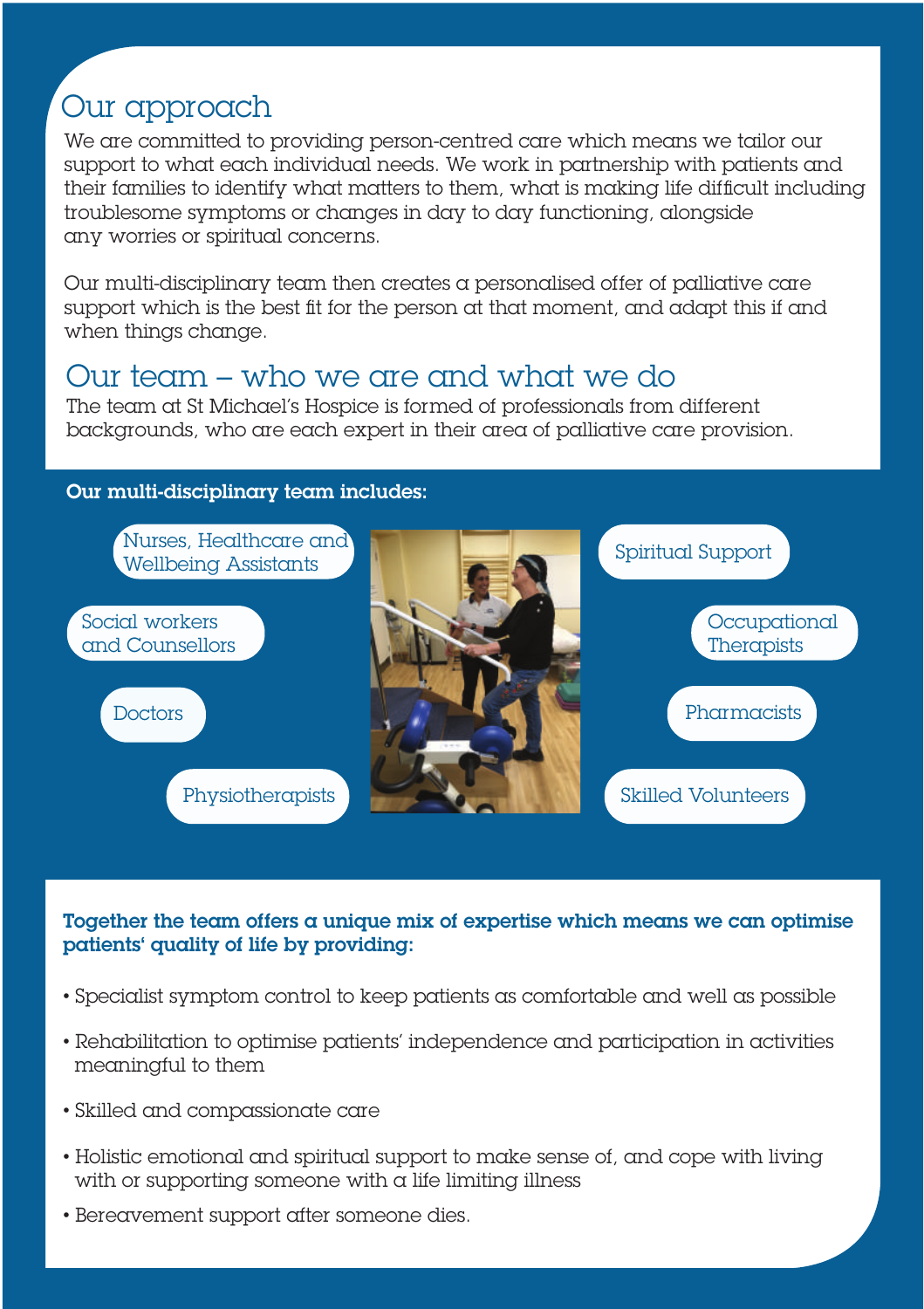# Our approach

We are committed to providing person-centred care which means we tailor our support to what each individual needs. We work in partnership with patients and their families to identify what matters to them, what is making life difficult including troublesome symptoms or changes in day to day functioning, alongside any worries or spiritual concerns.

Our multi-disciplinary team then creates a personalised offer of palliative care support which is the best fit for the person at that moment, and adapt this if and when things change.

### Our team – who we are and what we do

The team at St Michael's Hospice is formed of professionals from different backgrounds, who are each expert in their area of palliative care provision.

## Our multi-disciplinary team includes:



#### Together the team offers a unique mix of expertise which means we can optimise patients' quality of life by providing:

- Specialist symptom control to keep patients as comfortable and well as possible
- Rehabilitation to optimise patients' independence and participation in activities meaningful to them
- Skilled and compassionate care
- Holistic emotional and spiritual support to make sense of, and cope with living with or supporting someone with  $\alpha$  life limiting illness
- Bereavement support after someone dies.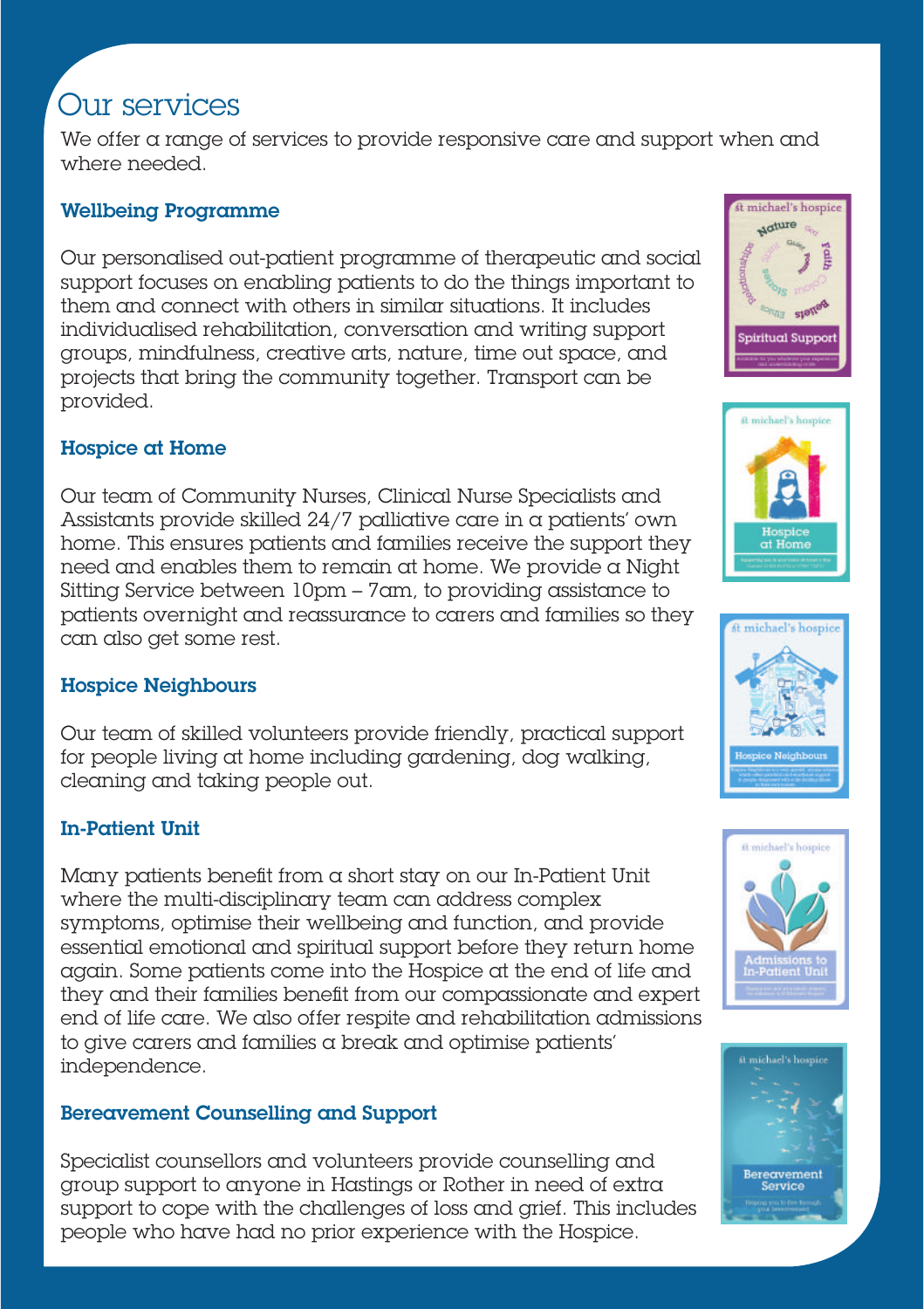## Our services

We offer a range of services to provide responsive care and support when and where needed.

#### Wellbeing Programme

Our personalised out-patient programme of therapeutic and social support focuses on enabling patients to do the things important to them and connect with others in similar situations. It includes individualised rehabilitation, conversation and writing support groups, mindfulness, creative arts, nature, time out space, and projects that bring the community together. Transport can be provided.

#### Hospice at Home

Our team of Community Nurses, Clinical Nurse Specialists and Assistants provide skilled 24/7 palliative care in a patients' own home. This ensures patients and families receive the support they need and enables them to remain at home. We provide a Night Sitting Service between 10pm – 7am, to providing assistance to patients overnight and reassurance to carers and families so they can also get some rest.

#### Hospice Neighbours

Our team of skilled volunteers provide friendly, practical support for people living at home including gardening, dog walking, cleaning and taking people out.

#### In-Patient Unit

Many patients benefit from a short stay on our In-Patient Unit where the multi-disciplinary team can address complex symptoms, optimise their wellbeing and function, and provide essential emotional and spiritual support before they return home again. Some patients come into the Hospice at the end of life and they and their families benefit from our compassionate and expert end of life care. We also offer respite and rehabilitation admissions to give carers and families a break and optimise patients' independence.

#### Bereavement Counselling and Support

Specialist counsellors and volunteers provide counselling and group support to anyone in Hastings or Rother in need of extra support to cope with the challenges of loss and grief. This includes people who have had no prior experience with the Hospice.